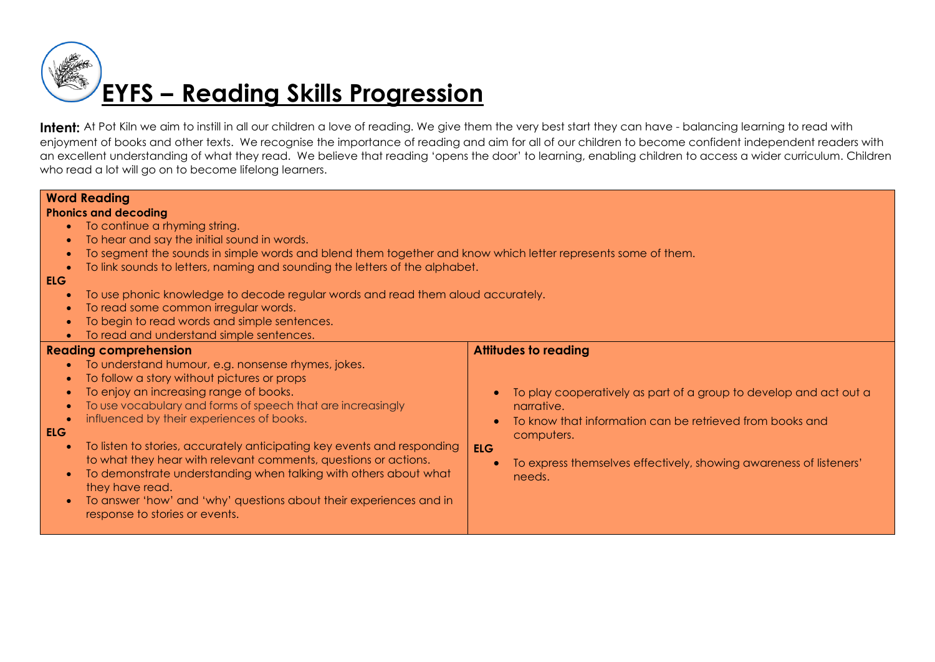# **EYFS – Reading Skills Progression**

Intent: At Pot Kiln we aim to instill in all our children a love of reading. We give them the very best start they can have - balancing learning to read with enjoyment of books and other texts. We recognise the importance of reading and aim for all of our children to become confident independent readers with an excellent understanding of what they read. We believe that reading 'opens the door' to learning, enabling children to access a wider curriculum. Children who read a lot will go on to become lifelong learners.

### **Word Reading**

### **Phonics and decoding**

- To continue a rhyming string.
- To hear and say the initial sound in words.
- To segment the sounds in simple words and blend them together and know which letter represents some of them.
- To link sounds to letters, naming and sounding the letters of the alphabet.

### **ELG**

- To use phonic knowledge to decode regular words and read them aloud accurately.
- To read some common irregular words.
- To begin to read words and simple sentences.
- To read and understand simple sentences.

## **Reading comprehension**

- To understand humour, e.g. nonsense rhymes, jokes.
- To follow a story without pictures or props
- To enjoy an increasing range of books.
- To use vocabulary and forms of speech that are increasingly
- influenced by their experiences of books.

## **ELG**

- To listen to stories, accurately anticipating key events and responding to what they hear with relevant comments, questions or actions.
- To demonstrate understanding when talking with others about what they have read.
- To answer 'how' and 'why' questions about their experiences and in response to stories or events.

## **Attitudes to reading**

- To play cooperatively as part of a group to develop and act out a narrative.
- To know that information can be retrieved from books and computers.

### **ELG**

 To express themselves effectively, showing awareness of listeners' needs.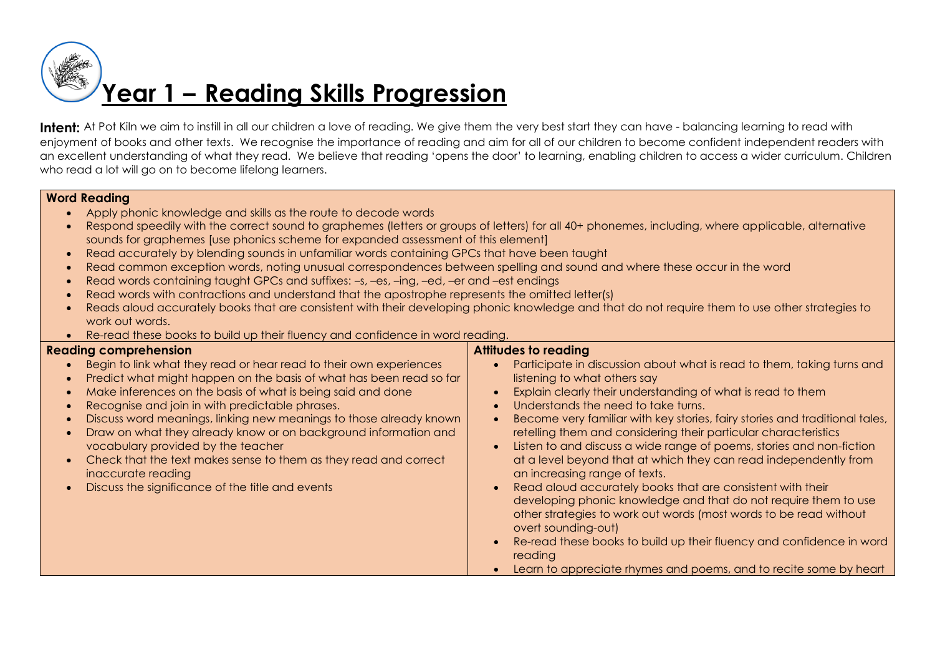# **Year 1 – Reading Skills Progression**

Intent: At Pot Kiln we aim to instill in all our children a love of reading. We give them the very best start they can have - balancing learning to read with enjoyment of books and other texts. We recognise the importance of reading and aim for all of our children to become confident independent readers with an excellent understanding of what they read. We believe that reading 'opens the door' to learning, enabling children to access a wider curriculum. Children who read a lot will go on to become lifelong learners.

## **Word Reading**

- Apply phonic knowledge and skills as the route to decode words
- Respond speedily with the correct sound to graphemes (letters or groups of letters) for all 40+ phonemes, including, where applicable, alternative sounds for graphemes [use phonics scheme for expanded assessment of this element]
- Read accurately by blending sounds in unfamiliar words containing GPCs that have been taught
- Read common exception words, noting unusual correspondences between spelling and sound and where these occur in the word
- Read words containing taught GPCs and suffixes: –s, –es, –ing, –ed, –er and –est endings
- Read words with contractions and understand that the apostrophe represents the omitted letter(s)
- Reads aloud accurately books that are consistent with their developing phonic knowledge and that do not require them to use other strategies to work out words.
- Re-read these books to build up their fluency and confidence in word reading.

## **Reading comprehension**

- Begin to link what they read or hear read to their own experiences
- Predict what might happen on the basis of what has been read so far
- Make inferences on the basis of what is being said and done
- Recognise and join in with predictable phrases.
- Discuss word meanings, linking new meanings to those already known
- Draw on what they already know or on background information and vocabulary provided by the teacher
- Check that the text makes sense to them as they read and correct inaccurate reading
- Discuss the significance of the title and events

## **Attitudes to reading**

- Participate in discussion about what is read to them, taking turns and listening to what others say
- Explain clearly their understanding of what is read to them
- Understands the need to take turns.
- Become very familiar with key stories, fairy stories and traditional tales, retelling them and considering their particular characteristics
- Listen to and discuss a wide range of poems, stories and non-fiction at a level beyond that at which they can read independently from an increasing range of texts.
- Read aloud accurately books that are consistent with their developing phonic knowledge and that do not require them to use other strategies to work out words (most words to be read without overt sounding-out)
- Re-read these books to build up their fluency and confidence in word reading
- Learn to appreciate rhymes and poems, and to recite some by heart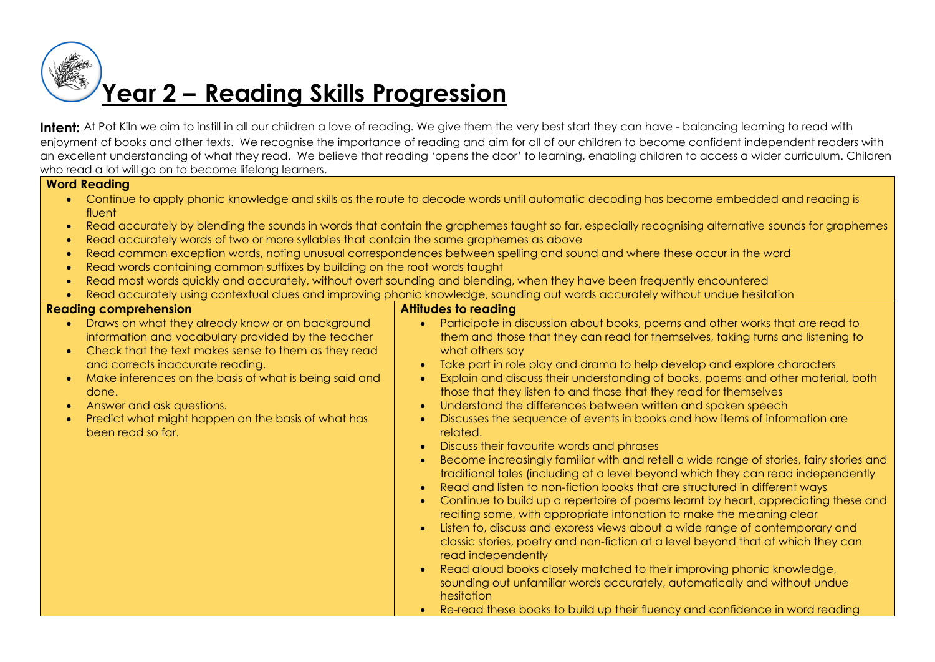# **Year 2 – Reading Skills Progression**

Intent: At Pot Kiln we aim to instill in all our children a love of reading. We give them the very best start they can have - balancing learning to read with enjoyment of books and other texts. We recognise the importance of reading and aim for all of our children to become confident independent readers with an excellent understanding of what they read. We believe that reading 'opens the door' to learning, enabling children to access a wider curriculum. Children who read a lot will go on to become lifelong learners.

## **Word Reading**

- Continue to apply phonic knowledge and skills as the route to decode words until automatic decoding has become embedded and reading is fluent
- Read accurately by blending the sounds in words that contain the graphemes taught so far, especially recognising alternative sounds for graphemes
- Read accurately words of two or more syllables that contain the same graphemes as above
- Read common exception words, noting unusual correspondences between spelling and sound and where these occur in the word
- Read words containing common suffixes by building on the root words taught
- Read most words quickly and accurately, without overt sounding and blending, when they have been frequently encountered
- Read accurately using contextual clues and improving phonic knowledge, sounding out words accurately without undue hesitation

## **Reading comprehension**

## **Attitudes to reading**

• Draws on what they already know or on background information and vocabulary provided by the teacher • Check that the text makes sense to them as they read and corrects inaccurate reading. Make inferences on the basis of what is being said and done. Answer and ask questions. • Predict what might happen on the basis of what has been read so far. Participate in discussion about books, poems and other works that are read to them and those that they can read for themselves, taking turns and listening to what others say Take part in role play and drama to help develop and explore characters Explain and discuss their understanding of books, poems and other material, both those that they listen to and those that they read for themselves • Understand the differences between written and spoken speech Discusses the sequence of events in books and how items of information are related. • Discuss their favourite words and phrases Become increasingly familiar with and retell a wide range of stories, fairy stories and traditional tales (including at a level beyond which they can read independently Read and listen to non-fiction books that are structured in different ways Continue to build up a repertoire of poems learnt by heart, appreciating these and reciting some, with appropriate intonation to make the meaning clear Listen to, discuss and express views about a wide range of contemporary and classic stories, poetry and non-fiction at a level beyond that at which they can read independently • Read aloud books closely matched to their improving phonic knowledge, sounding out unfamiliar words accurately, automatically and without undue hesitation Re-read these books to build up their fluency and confidence in word reading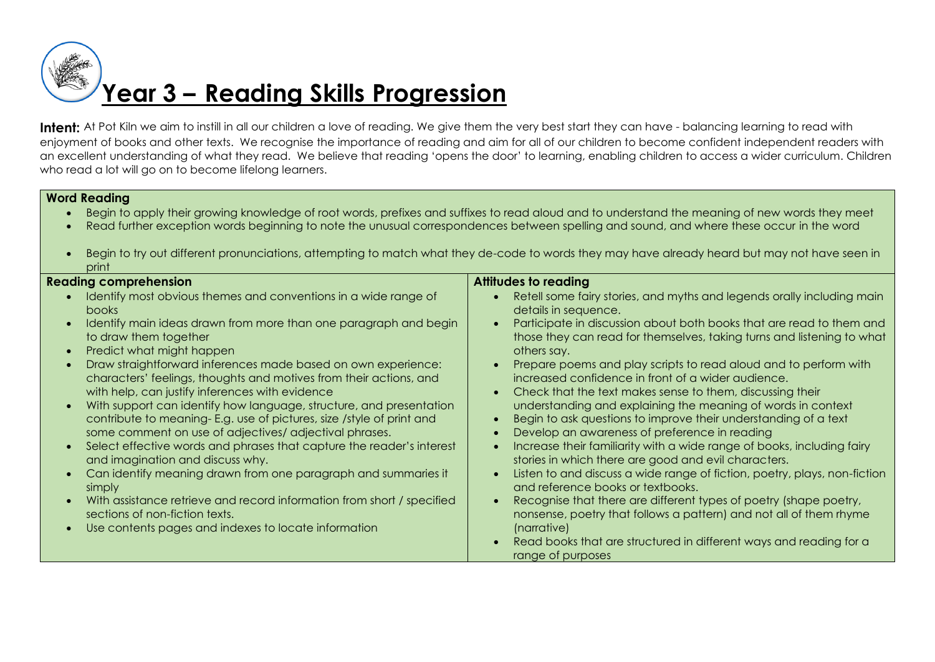# **Year 3 – Reading Skills Progression**

Intent: At Pot Kiln we aim to instill in all our children a love of reading. We give them the very best start they can have - balancing learning to read with enjoyment of books and other texts. We recognise the importance of reading and aim for all of our children to become confident independent readers with an excellent understanding of what they read. We believe that reading 'opens the door' to learning, enabling children to access a wider curriculum. Children who read a lot will go on to become lifelong learners.

## **Word Reading**

- Begin to apply their growing knowledge of root words, prefixes and suffixes to read aloud and to understand the meaning of new words they meet
- Read further exception words beginning to note the unusual correspondences between spelling and sound, and where these occur in the word
- Begin to try out different pronunciations, attempting to match what they de-code to words they may have already heard but may not have seen in print

| <b>Reading comprehension</b>                                                                                                                                                                                                                                                                                                                                                                                                                                                                                                                                                                                                                                                                                                                                                                                                                                                                                                                                              | <b>Attitudes to reading</b>                                                                                                                                                                                                                                                                                                                                                                                                                                                                                                                                                                                                                                                                                                                                                                                                                                                                                                                                                                                                                                                                                                    |
|---------------------------------------------------------------------------------------------------------------------------------------------------------------------------------------------------------------------------------------------------------------------------------------------------------------------------------------------------------------------------------------------------------------------------------------------------------------------------------------------------------------------------------------------------------------------------------------------------------------------------------------------------------------------------------------------------------------------------------------------------------------------------------------------------------------------------------------------------------------------------------------------------------------------------------------------------------------------------|--------------------------------------------------------------------------------------------------------------------------------------------------------------------------------------------------------------------------------------------------------------------------------------------------------------------------------------------------------------------------------------------------------------------------------------------------------------------------------------------------------------------------------------------------------------------------------------------------------------------------------------------------------------------------------------------------------------------------------------------------------------------------------------------------------------------------------------------------------------------------------------------------------------------------------------------------------------------------------------------------------------------------------------------------------------------------------------------------------------------------------|
| Identify most obvious themes and conventions in a wide range of<br><b>books</b><br>Identify main ideas drawn from more than one paragraph and begin<br>to draw them together<br>Predict what might happen<br>Draw straightforward inferences made based on own experience:<br>characters' feelings, thoughts and motives from their actions, and<br>with help, can justify inferences with evidence<br>With support can identify how language, structure, and presentation<br>contribute to meaning-E.g. use of pictures, size /style of print and<br>some comment on use of adjectives/ adjectival phrases.<br>Select effective words and phrases that capture the reader's interest<br>and imagination and discuss why.<br>Can identify meaning drawn from one paragraph and summaries it<br>simply<br>With assistance retrieve and record information from short / specified<br>sections of non-fiction texts.<br>Use contents pages and indexes to locate information | Retell some fairy stories, and myths and legends orally including main<br>details in sequence.<br>Participate in discussion about both books that are read to them and<br>those they can read for themselves, taking turns and listening to what<br>others say.<br>Prepare poems and play scripts to read aloud and to perform with<br>increased confidence in front of a wider audience.<br>Check that the text makes sense to them, discussing their<br>understanding and explaining the meaning of words in context<br>Begin to ask questions to improve their understanding of a text<br>Develop an awareness of preference in reading<br>Increase their familiarity with a wide range of books, including fairy<br>stories in which there are good and evil characters.<br>Listen to and discuss a wide range of fiction, poetry, plays, non-fiction<br>and reference books or textbooks.<br>Recognise that there are different types of poetry (shape poetry,<br>nonsense, poetry that follows a pattern) and not all of them rhyme<br>(narrative)<br>Read books that are structured in different ways and reading for a |
|                                                                                                                                                                                                                                                                                                                                                                                                                                                                                                                                                                                                                                                                                                                                                                                                                                                                                                                                                                           | range of purposes                                                                                                                                                                                                                                                                                                                                                                                                                                                                                                                                                                                                                                                                                                                                                                                                                                                                                                                                                                                                                                                                                                              |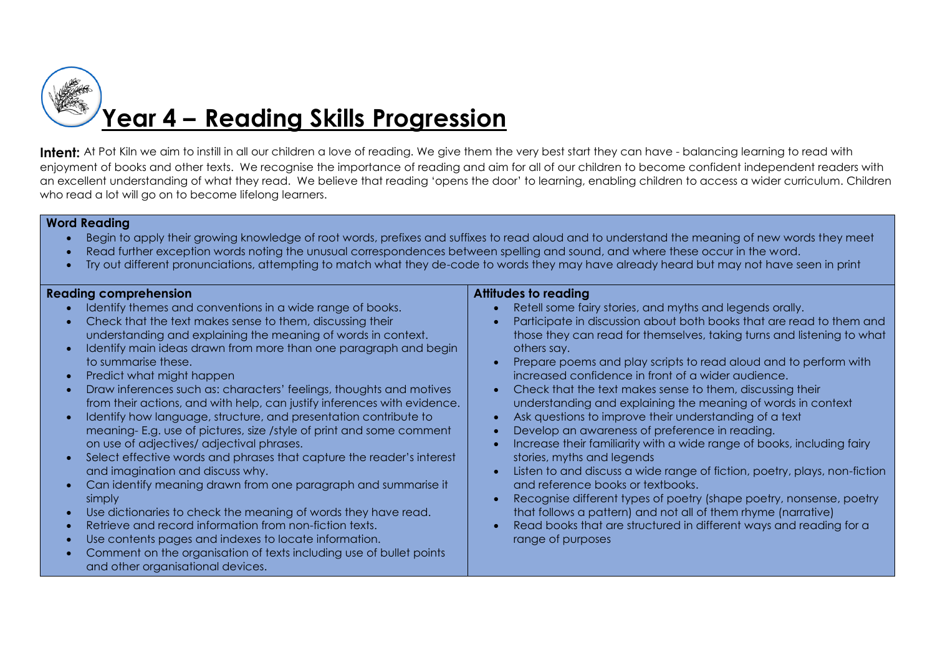

## **Year 4 – Reading Skills Progression**

**Intent:** At Pot Kiln we aim to instill in all our children a love of reading. We give them the very best start they can have - balancing learning to read with enjoyment of books and other texts. We recognise the importance of reading and aim for all of our children to become confident independent readers with an excellent understanding of what they read. We believe that reading 'opens the door' to learning, enabling children to access a wider curriculum. Children who read a lot will go on to become lifelong learners.

## **Word Reading**

- Begin to apply their growing knowledge of root words, prefixes and suffixes to read aloud and to understand the meaning of new words they meet
- Read further exception words noting the unusual correspondences between spelling and sound, and where these occur in the word.
- Try out different pronunciations, attempting to match what they de-code to words they may have already heard but may not have seen in print

### **Reading comprehension**

- Identify themes and conventions in a wide range of books.
- Check that the text makes sense to them, discussing their understanding and explaining the meaning of words in context.
- Identify main ideas drawn from more than one paragraph and begin to summarise these.
- Predict what might happen
- Draw inferences such as: characters' feelings, thoughts and motives from their actions, and with help, can justify inferences with evidence.
- Identify how language, structure, and presentation contribute to meaning- E.g. use of pictures, size /style of print and some comment on use of adjectives/ adjectival phrases.
- Select effective words and phrases that capture the reader's interest and imagination and discuss why.
- Can identify meaning drawn from one paragraph and summarise it simply
- Use dictionaries to check the meaning of words they have read.
- Retrieve and record information from non-fiction texts.
- Use contents pages and indexes to locate information.
- Comment on the organisation of texts including use of bullet points and other organisational devices.

## **Attitudes to reading**

- Retell some fairy stories, and myths and legends orally.
- Participate in discussion about both books that are read to them and those they can read for themselves, taking turns and listening to what others say.
- Prepare poems and play scripts to read aloud and to perform with increased confidence in front of a wider audience.
- Check that the text makes sense to them, discussing their understanding and explaining the meaning of words in context
- Ask questions to improve their understanding of a text
- Develop an awareness of preference in reading.
- Increase their familiarity with a wide range of books, including fairy stories, myths and legends
- Listen to and discuss a wide range of fiction, poetry, plays, non-fiction and reference books or textbooks.
- Recognise different types of poetry (shape poetry, nonsense, poetry that follows a pattern) and not all of them rhyme (narrative)
- Read books that are structured in different ways and reading for a range of purposes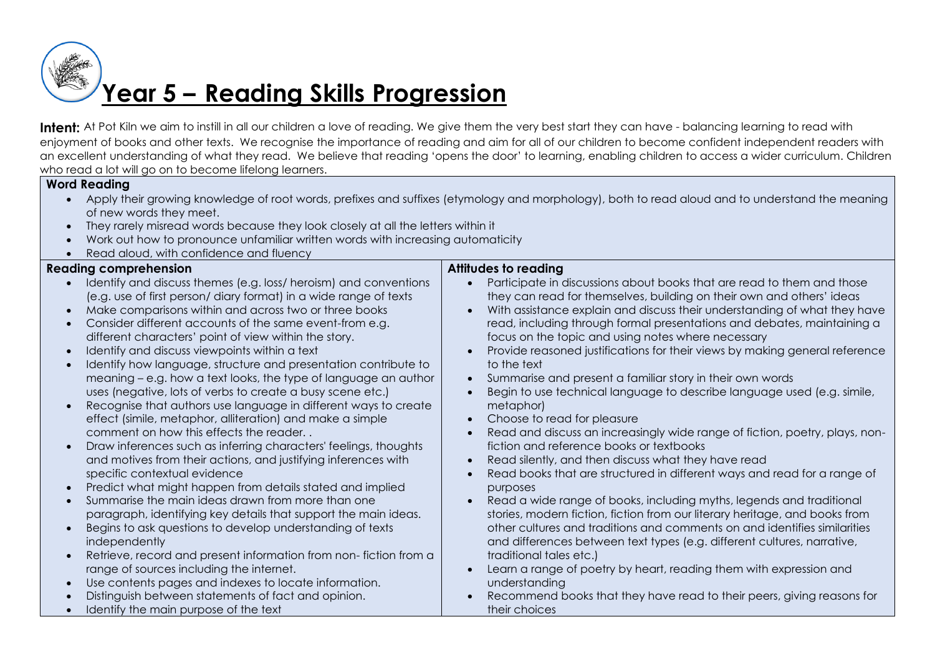# **Year 5 – Reading Skills Progression**

Intent: At Pot Kiln we aim to instill in all our children a love of reading. We give them the very best start they can have - balancing learning to read with enjoyment of books and other texts. We recognise the importance of reading and aim for all of our children to become confident independent readers with an excellent understanding of what they read. We believe that reading 'opens the door' to learning, enabling children to access a wider curriculum. Children who read a lot will go on to become lifelong learners.

## **Word Reading**

- Apply their growing knowledge of root words, prefixes and suffixes (etymology and morphology), both to read aloud and to understand the meaning of new words they meet.
- They rarely misread words because they look closely at all the letters within it
- Work out how to pronounce unfamiliar written words with increasing automaticity • Read aloud, with confidence and fluency

| <b>Reading comprehension</b>                                                                                                                                                                                                                                                                                                                                                                                                                                                                                                                                                                                                                                                                                                                                                                                                                                                                                                                                                                                                                                                                                                                                                                                                                                                                                            | Attitudes to reading                                                                                                                                                                                                                                                                                                                                                                                                                                                                                                                                                                                                                                                                                                                                                                                                                                                                                                                                                                                                                                                                                                                                                                                                                                                                                                                                                                          |
|-------------------------------------------------------------------------------------------------------------------------------------------------------------------------------------------------------------------------------------------------------------------------------------------------------------------------------------------------------------------------------------------------------------------------------------------------------------------------------------------------------------------------------------------------------------------------------------------------------------------------------------------------------------------------------------------------------------------------------------------------------------------------------------------------------------------------------------------------------------------------------------------------------------------------------------------------------------------------------------------------------------------------------------------------------------------------------------------------------------------------------------------------------------------------------------------------------------------------------------------------------------------------------------------------------------------------|-----------------------------------------------------------------------------------------------------------------------------------------------------------------------------------------------------------------------------------------------------------------------------------------------------------------------------------------------------------------------------------------------------------------------------------------------------------------------------------------------------------------------------------------------------------------------------------------------------------------------------------------------------------------------------------------------------------------------------------------------------------------------------------------------------------------------------------------------------------------------------------------------------------------------------------------------------------------------------------------------------------------------------------------------------------------------------------------------------------------------------------------------------------------------------------------------------------------------------------------------------------------------------------------------------------------------------------------------------------------------------------------------|
| Identify and discuss themes (e.g. loss/ heroism) and conventions<br>(e.g. use of first person/ diary format) in a wide range of texts<br>Make comparisons within and across two or three books<br>$\bullet$<br>Consider different accounts of the same event-from e.g.<br>different characters' point of view within the story.<br>Identify and discuss viewpoints within a text<br>Identify how language, structure and presentation contribute to<br>meaning – e.g. how a text looks, the type of language an author<br>uses (negative, lots of verbs to create a busy scene etc.)<br>Recognise that authors use language in different ways to create<br>effect (simile, metaphor, alliteration) and make a simple<br>comment on how this effects the reader<br>Draw inferences such as inferring characters' feelings, thoughts<br>and motives from their actions, and justifying inferences with<br>specific contextual evidence<br>Predict what might happen from details stated and implied<br>Summarise the main ideas drawn from more than one<br>paragraph, identifying key details that support the main ideas.<br>Begins to ask questions to develop understanding of texts<br>independently<br>Retrieve, record and present information from non-fiction from a<br>range of sources including the internet. | Participate in discussions about books that are read to them and those<br>$\bullet$<br>they can read for themselves, building on their own and others' ideas<br>With assistance explain and discuss their understanding of what they have<br>$\bullet$<br>read, including through formal presentations and debates, maintaining a<br>focus on the topic and using notes where necessary<br>Provide reasoned justifications for their views by making general reference<br>to the text<br>Summarise and present a familiar story in their own words<br>$\bullet$<br>Begin to use technical language to describe language used (e.g. simile,<br>metaphor)<br>Choose to read for pleasure<br>$\bullet$<br>Read and discuss an increasingly wide range of fiction, poetry, plays, non-<br>fiction and reference books or textbooks<br>Read silently, and then discuss what they have read<br>Read books that are structured in different ways and read for a range of<br>purposes<br>Read a wide range of books, including myths, legends and traditional<br>stories, modern fiction, fiction from our literary heritage, and books from<br>other cultures and traditions and comments on and identifies similarities<br>and differences between text types (e.g. different cultures, narrative,<br>traditional tales etc.)<br>Learn a range of poetry by heart, reading them with expression and |
| Use contents pages and indexes to locate information.<br>Distinguish between statements of fact and opinion.                                                                                                                                                                                                                                                                                                                                                                                                                                                                                                                                                                                                                                                                                                                                                                                                                                                                                                                                                                                                                                                                                                                                                                                                            | understanding<br>Recommend books that they have read to their peers, giving reasons for                                                                                                                                                                                                                                                                                                                                                                                                                                                                                                                                                                                                                                                                                                                                                                                                                                                                                                                                                                                                                                                                                                                                                                                                                                                                                                       |
| Identify the main purpose of the text                                                                                                                                                                                                                                                                                                                                                                                                                                                                                                                                                                                                                                                                                                                                                                                                                                                                                                                                                                                                                                                                                                                                                                                                                                                                                   | their choices                                                                                                                                                                                                                                                                                                                                                                                                                                                                                                                                                                                                                                                                                                                                                                                                                                                                                                                                                                                                                                                                                                                                                                                                                                                                                                                                                                                 |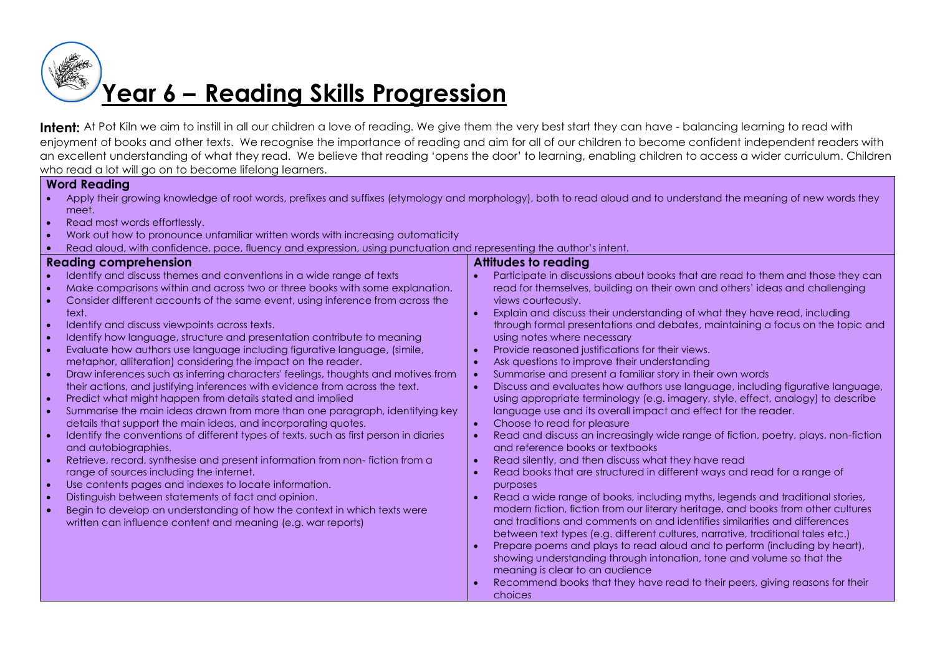# **Year 6 – Reading Skills Progression**

Intent: At Pot Kiln we aim to instill in all our children a love of reading. We give them the very best start they can have - balancing learning to read with enjoyment of books and other texts. We recognise the importance of reading and aim for all of our children to become confident independent readers with an excellent understanding of what they read. We believe that reading 'opens the door' to learning, enabling children to access a wider curriculum. Children who read a lot will go on to become lifelong learners.

## **Word Reading**

- Apply their growing knowledge of root words, prefixes and suffixes (etymology and morphology), both to read aloud and to understand the meaning of new words they meet.
- Read most words effortlessly.
- Work out how to pronounce unfamiliar written words with increasing automaticity
- Read aloud, with confidence, pace, fluency and expression, using punctuation and representing the author's intent.

### **Reading comprehension**

- Identify and discuss themes and conventions in a wide range of texts
- Make comparisons within and across two or three books with some explanation.
- Consider different accounts of the same event, using inference from across the text.
- $\bullet$  Identify and discuss viewpoints across texts.
- Identify how language, structure and presentation contribute to meaning
- Evaluate how authors use language including figurative language, (simile, metaphor, alliteration) considering the impact on the reader.
- Draw inferences such as inferring characters' feelings, thoughts and motives from their actions, and justifying inferences with evidence from across the text.
- Predict what might happen from details stated and implied
- Summarise the main ideas drawn from more than one paragraph, identifying key details that support the main ideas, and incorporating quotes.
- Identify the conventions of different types of texts, such as first person in diaries and autobiographies.
- Retrieve, record, synthesise and present information from non- fiction from a range of sources including the internet.
- Use contents pages and indexes to locate information.
- Distinguish between statements of fact and opinion.
- Begin to develop an understanding of how the context in which texts were written can influence content and meaning (e.g. war reports)

## **Attitudes to reading**

- Participate in discussions about books that are read to them and those they can read for themselves, building on their own and others' ideas and challenging views courteously.
- Explain and discuss their understanding of what they have read, including through formal presentations and debates, maintaining a focus on the topic and using notes where necessary
- Provide reasoned justifications for their views.
- Ask questions to improve their understanding
- Summarise and present a familiar story in their own words
- Discuss and evaluates how authors use language, including figurative language, using appropriate terminology (e.g. imagery, style, effect, analogy) to describe language use and its overall impact and effect for the reader.
- Choose to read for pleasure
- Read and discuss an increasingly wide range of fiction, poetry, plays, non-fiction and reference books or textbooks
- Read silently, and then discuss what they have read
- Read books that are structured in different ways and read for a range of purposes
- Read a wide range of books, including myths, legends and traditional stories, modern fiction, fiction from our literary heritage, and books from other cultures and traditions and comments on and identifies similarities and differences between text types (e.g. different cultures, narrative, traditional tales etc.)
- Prepare poems and plays to read aloud and to perform (including by heart), showing understanding through intonation, tone and volume so that the meaning is clear to an audience
- Recommend books that they have read to their peers, giving reasons for their choices